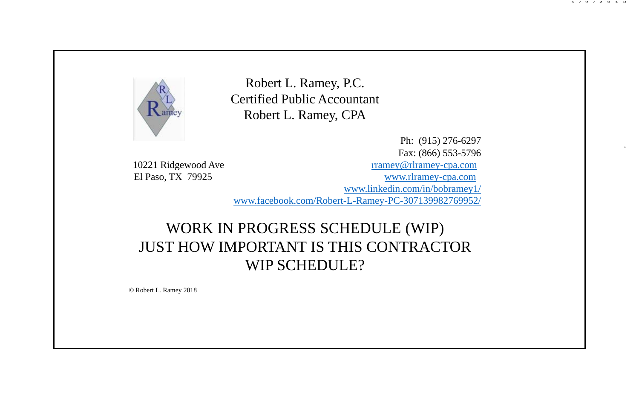

Robert L. Ramey, P.C. Certified Public Accountant Robert L. Ramey, CPA

Ph: (915) 276-6297 Fax: (866) 553-5796 10221 Ridgewood Ave rramey@rlramey-cpa.com El Paso, TX 79925 www.rlramey-cpa.com www.linkedin.com/in/bobramey1/ www.facebook.com/Robert-L-Ramey-PC-307139982769952/ 5 /9 /2 0 1 8

1

#### WORK IN PROGRESS SCHEDULE (WIP) JUST HOW IMPORTANT IS THIS CONTRACTOR WIP SCHEDULE?

© Robert L. Ramey 2018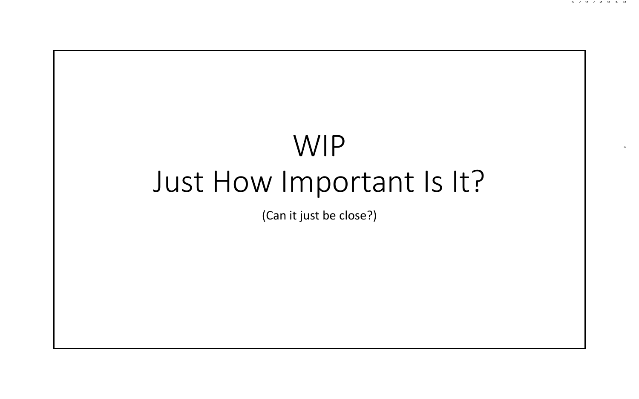

5 /9 /2 0 1 8

(Can it just be close?)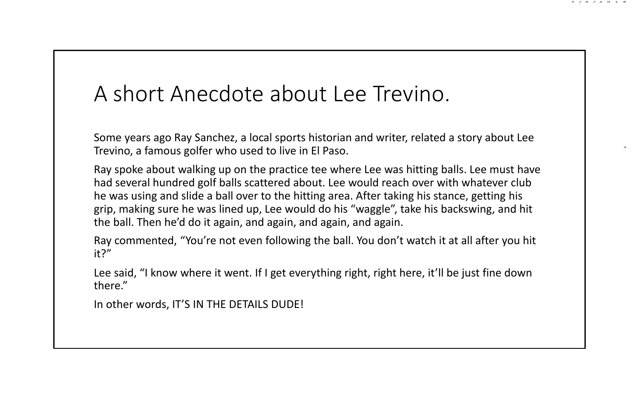#### A short Anecdote about Lee Trevino.

Some years ago Ray Sanchez, a local sports historian and writer, related a story about Lee Trevino, a famous golfer who used to live in El Paso.

5 /9 /2 0 1 8

3

Ray spoke about walking up on the practice tee where Lee was hitting balls. Lee must have had several hundred golf balls scattered about. Lee would reach over with whatever club he was using and slide a ball over to the hitting area. After taking his stance, getting his grip, making sure he was lined up, Lee would do his "waggle", take his backswing, and hit the ball. Then he'd do it again, and again, and again, and again.

Ray commented, "You're not even following the ball. You don't watch it at all after you hit it?"

Lee said, "I know where it went. If I get everything right, right here, it'll be just fine down there."

In other words, IT'S IN THE DETAILS DUDE!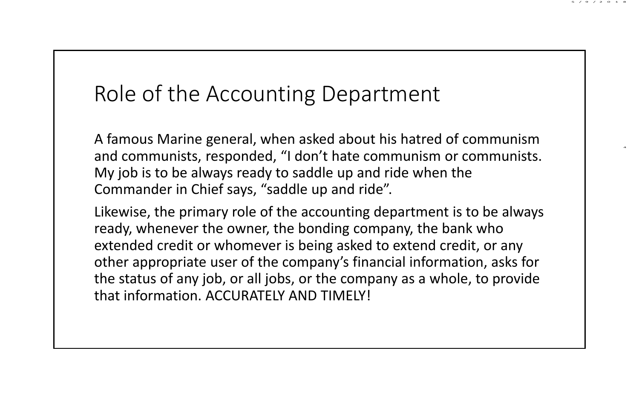#### 5 /9 /2 0 1 8

4

# Role of the Accounting Department

A famous Marine general, when asked about his hatred of communism and communists, responded, "I don't hate communism or communists. My job is to be always ready to saddle up and ride when the Commander in Chief says, "saddle up and ride".

Likewise, the primary role of the accounting department is to be always ready, whenever the owner, the bonding company, the bank who extended credit or whomever is being asked to extend credit, or any other appropriate user of the company's financial information, asks for the status of any job, or all jobs, or the company as a whole, to provide that information. ACCURATELY AND TIMELY!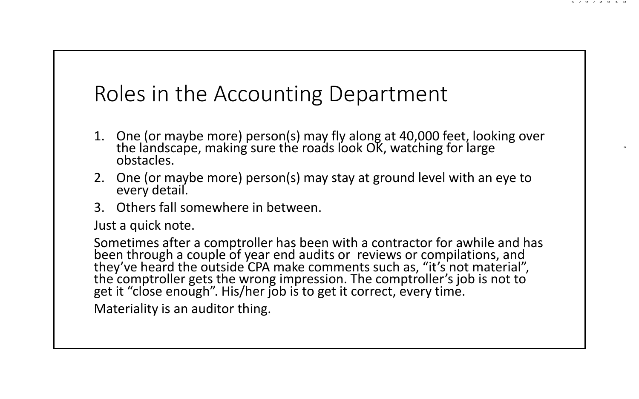### Roles in the Accounting Department

1. One (or maybe more) person(s) may fly along at 40,000 feet, looking over the landscape, making sure the roads look OK, watching for large<br>obstacles.

5 /9 /2 0 1 8

5

- 2. One (or maybe more) person(s) may stay at ground level with an eye to every detail.
- 3. Others fall somewhere in between.

Just a quick note.

Sometimes after a comptroller has been with a contractor for awhile and has been through a couple of year end audits or reviews or compilations, and they've heard the outside CPA make comments such as, "it's not material", the comptroller gets the wrong impression. The comptroller's job is not to get it "close enough". His/her job is to get it correct, every time.

Materiality is an auditor thing.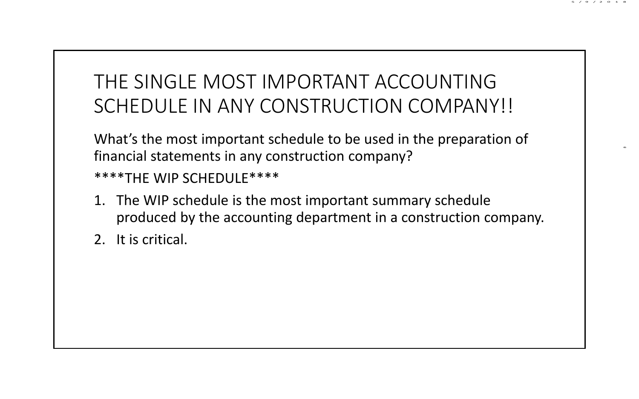#### THE SINGLE MOST IMPORTANT ACCOUNTING SCHEDULE IN ANY CONSTRUCTION COMPANY!!

5 /9 /2 0 1 8

6

What's the most important schedule to be used in the preparation of financial statements in any construction company?

\*\*\*\*THE WIP SCHEDULE\*\*\*\*

- 1. The WIP schedule is the most important summary schedule produced by the accounting department in a construction company.
- 2. It is critical.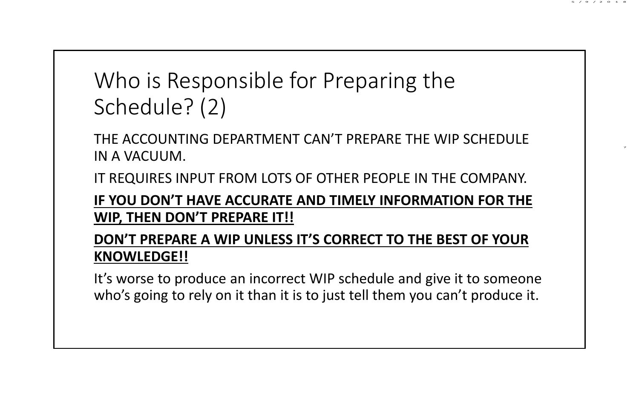# Who is Responsible for Preparing the Schedule? (2)

THE ACCOUNTING DEPARTMENT CAN'T PREPARE THE WIP SCHEDULE IN A VACUUM.

IT REQUIRES INPUT FROM LOTS OF OTHER PEOPLE IN THE COMPANY.

**IF YOU DON'T HAVE ACCURATE AND TIMELY INFORMATION FOR THE WIP, THEN DON'T PREPARE IT!!**

**DON'T PREPARE A WIP UNLESS IT'S CORRECT TO THE BEST OF YOUR KNOWLEDGE!!**

It's worse to produce an incorrect WIP schedule and give it to someone who's going to rely on it than it is to just tell them you can't produce it.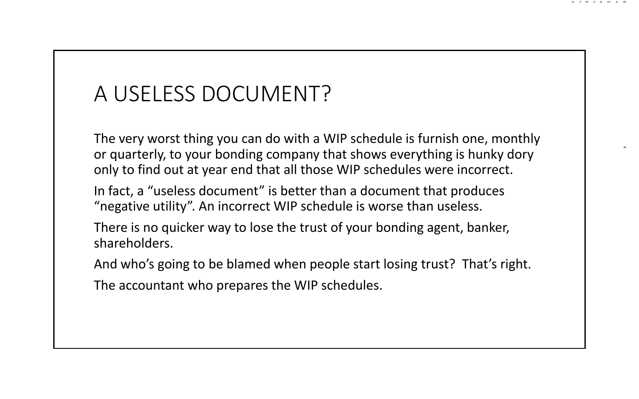## A USELESS DOCUMENT?

The very worst thing you can do with a WIP schedule is furnish one, monthly or quarterly, to your bonding company that shows everything is hunky dory only to find out at year end that all those WIP schedules were incorrect.

5 /9 /2 0 1 8

8

In fact, a "useless document" is better than a document that produces "negative utility". An incorrect WIP schedule is worse than useless.

There is no quicker way to lose the trust of your bonding agent, banker, shareholders.

And who's going to be blamed when people start losing trust? That's right.

The accountant who prepares the WIP schedules.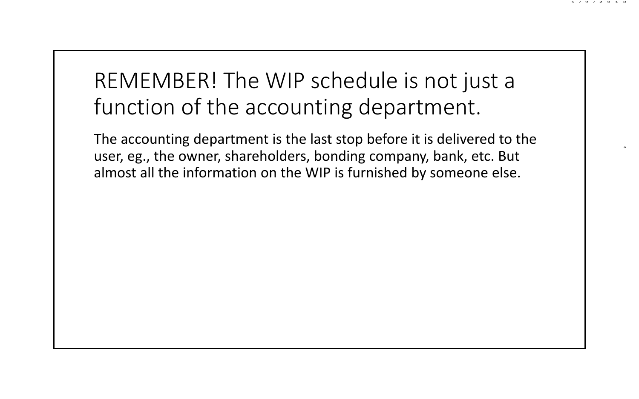# REMEMBER! The WIP schedule is not just a function of the accounting department.

5 /9 /2 0 1 8

9

The accounting department is the last stop before it is delivered to the user, eg., the owner, shareholders, bonding company, bank, etc. But almost all the information on the WIP is furnished by someone else.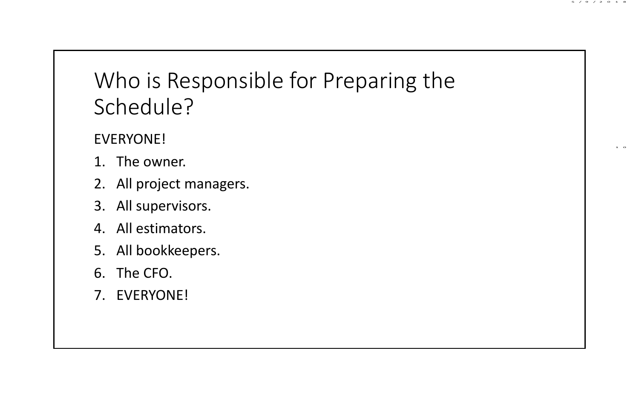# Who is Responsible for Preparing the Schedule?

#### EVERYONE!

- 1. The owner.
- 2. All project managers.
- 3. All supervisors.
- 4. All estimators.
- 5. All bookkeepers.
- 6. The CFO.
- 7. EVERYONE!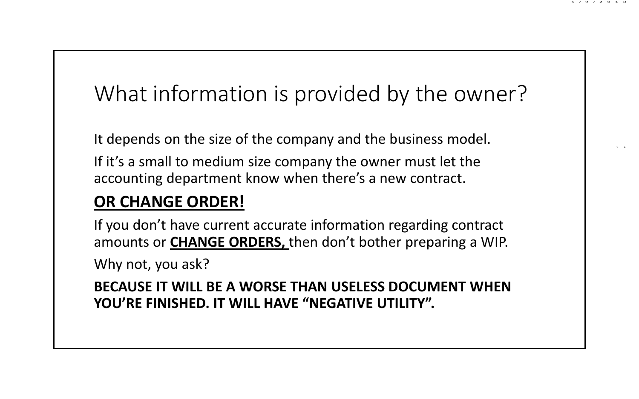# What information is provided by the owner?

5 /9 /2 0 1 8

1 1

It depends on the size of the company and the business model.

If it's a small to medium size company the owner must let the accounting department know when there's a new contract.

#### **OR CHANGE ORDER!**

If you don't have current accurate information regarding contract amounts or **CHANGE ORDERS,** then don't bother preparing a WIP.

Why not, you ask?

**BECAUSE IT WILL BE A WORSE THAN USELESS DOCUMENT WHEN YOU'RE FINISHED. IT WILL HAVE "NEGATIVE UTILITY".**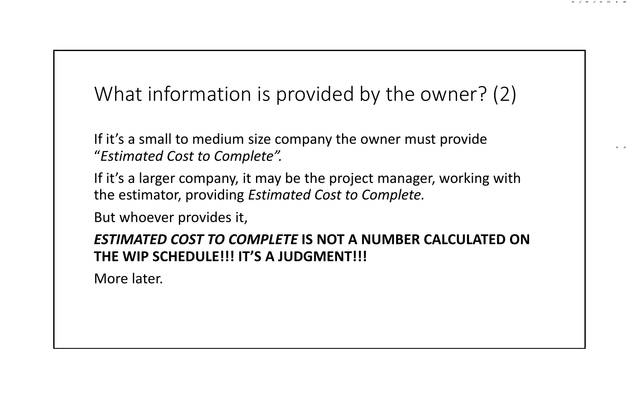#### What information is provided by the owner? (2)

5 /9 /2 0 1 8

1 2

If it's a small to medium size company the owner must provide "*Estimated Cost to Complete".*

If it's a larger company, it may be the project manager, working with the estimator, providing *Estimated Cost to Complete.*

But whoever provides it,

#### *ESTIMATED COST TO COMPLETE* **IS NOT A NUMBER CALCULATED ON THE WIP SCHEDULE!!! IT'S A JUDGMENT!!!**

More later.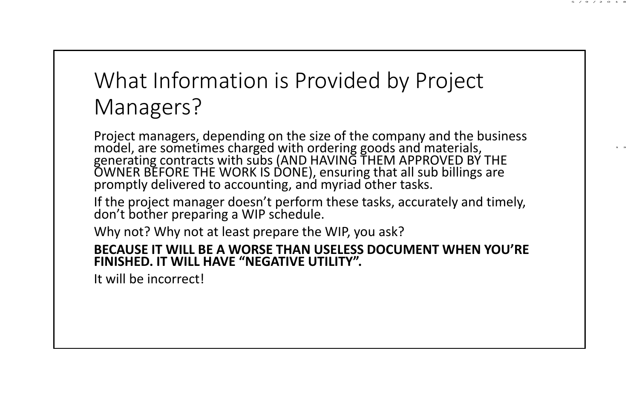# What Information is Provided by Project Managers?

Project managers, depending on the size of the company and the business model, are sometimes charged with ordering goods and materials, generating contracts with subs (AND HAVING THEM APPROVED BY THE OWNER BEFORE THE WORK IS DONE), ensuring that all sub billings are promptly delivered to accounting, and myriad other tasks.

5 /9 /2 0 1 8

1 3

If the project manager doesn't perform these tasks, accurately and timely, don't bother preparing <sup>a</sup> WIP schedule.

Why not? Why not at least prepare the WIP, you ask?

#### **BECAUSE IT WILL BE A WORSE THAN USELESS DOCUMENT WHEN YOU'RE FINISHED. IT WILL HAVE "NEGATIVE UTILITY".**

It will be incorrect!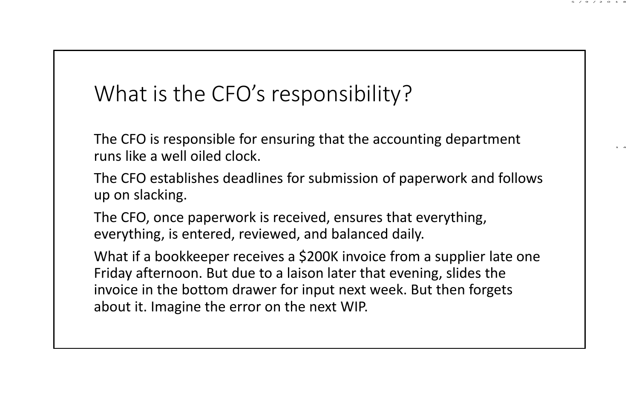### What is the CFO's responsibility?

The CFO is responsible for ensuring that the accounting department runs like a well oiled clock.

The CFO establishes deadlines for submission of paperwork and follows up on slacking.

5 /9 /2 0 1 8

1 4

The CFO, once paperwork is received, ensures that everything, everything, is entered, reviewed, and balanced daily.

What if a bookkeeper receives a \$200K invoice from a supplier late one Friday afternoon. But due to a laison later that evening, slides the invoice in the bottom drawer for input next week. But then forgets about it. Imagine the error on the next WIP.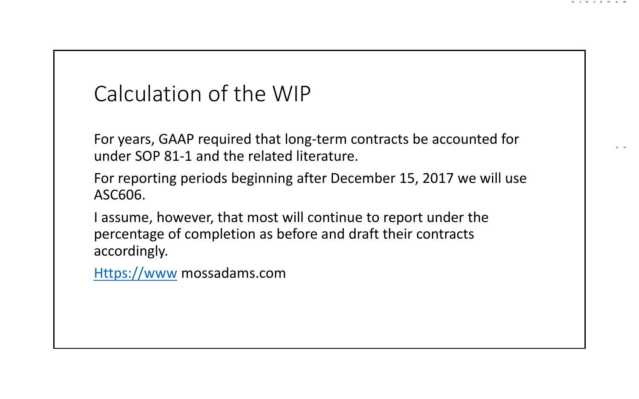#### 5 /9 /2 0 1 8

1 5

# Calculation of the WIP

For years, GAAP required that long‐term contracts be accounted for under SOP 81‐1 and the related literature.

- For reporting periods beginning after December 15, 2017 we will use ASC606.
- I assume, however, that most will continue to report under the percentage of completion as before and draft their contracts accordingly.

Https://www mossadams.com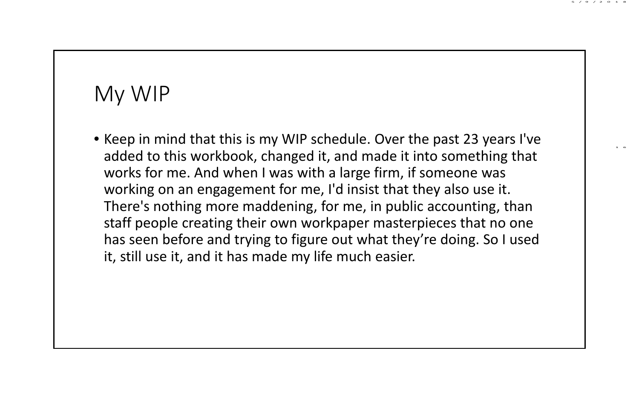### My WIP

• Keep in mind that this is my WIP schedule. Over the past 23 years I've added to this workbook, changed it, and made it into something that works for me. And when I was with a large firm, if someone was working on an engagement for me, I'd insist that they also use it. There's nothing more maddening, for me, in public accounting, than staff people creating their own workpaper masterpieces that no one has seen before and trying to figure out what they're doing. So I used it, still use it, and it has made my life much easier.

5 /9 /2 0 1 8

1 6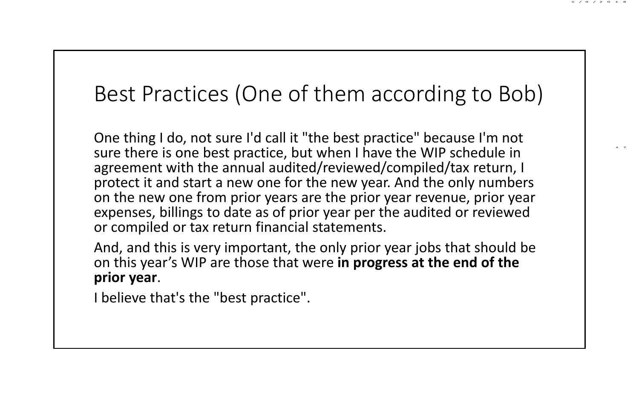# Best Practices (One of them according to Bob)

5 /9 /2 0 1 8

1 7

One thing I do, not sure I'd call it "the best practice" because I'm not sure there is one best practice, but when I have the WIP schedule in agreement with the annual audited/reviewed/compiled/tax return, I protect it and start a new one for the new year. And the only numbers on the new one from prior years are the prior year revenue, prior year expenses, billings to date as of prior year per the audited or reviewed or compiled or tax return financial statements.

And, and this is very important, the only prior year jobs that should be on this year's WIP are those that were **in progress at the end of the prior year**.

I believe that's the "best practice".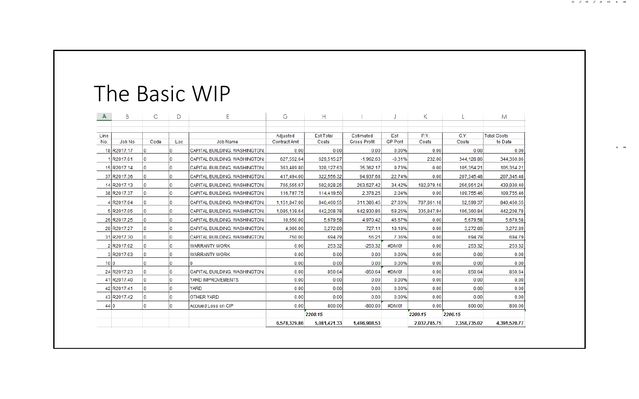| $\mathsf{A}$    | B             | C    | D   | Ë                             | G                            | н                |                     |                | κ            |              | M                  |
|-----------------|---------------|------|-----|-------------------------------|------------------------------|------------------|---------------------|----------------|--------------|--------------|--------------------|
|                 |               |      |     |                               |                              |                  |                     |                |              |              |                    |
| Line            |               |      |     |                               | Adjusted                     | <b>Fst Total</b> | <b>Fstimated</b>    | Est            | P.Y.         | C.Y.         | <b>Total Costs</b> |
| No.             | <b>Job No</b> | Code | Loc | <b>Job Name</b>               | <b>Contract Amt</b>          | Costs            | <b>Gross Profit</b> | <b>GP Pcnt</b> | Costs        | Costs        | to Date            |
|                 | 18 R2017.17   |      | I۵  | CAPITAL BUILDING, WASHINGTON, | 0.00                         | 0.00             | 0.00                | 0.00%          | 0.00         | 0.00         | 0.00               |
|                 | 1R2017.01     | o    | I۵  | CAPITAL BUILDING, WASHINGTON, | 627,552.64                   | 629.515.27       | $-1,962.63$         | $-0.31%$       | 232.00       | 344,128.86   | 344,360.86         |
|                 | 15 R2017.14   |      | I۵  | CAPITAL BUILDING, WASHINGTON, | 363.489.80                   | 328, 127.63      | 35.362.17           | 9.73%          | 0.00         | 105.354.21   | 105.354.21         |
|                 | 37 R2017.36   | o    | I۵  | CAPITAL BUILDING, WASHINGTON, | 417.494.00                   | 322.556.32       | 94.937.68           | 22.74%         | 0.00         | 207,345.48   | 207.345.48         |
|                 | 14 R2017.13   |      | I٥  | CAPITAL BUILDING, WASHINGTON, | 765,555.67                   | 502.028.25       | 263.527.42          | 34.42%         | 182.979.16   | 256.951.24   | 439.930.40         |
|                 | 38 R2017.37   |      | I٥  | CAPITAL BUILDING, WASHINGTON, | 116.797.75                   | 114,419.50       | 2.378.25            | 2.04%          | 0.00         | 109,755.46   | 109,755.46         |
|                 | 4 R2017.04    |      | 10  | CAPITAL BUILDING, WASHINGTON, | 1,151,847.00                 | 840,460.55       | 311,386.45          | 27.03%         | 787,861.18   | 52,599.37    | 840.460.55         |
|                 | 5 R2017.05    |      | 10  | CAPITAL BUILDING, WASHINGTON, | 1,085,139.64                 | 442,208.78       | 642,930.86          | 59.25%         | 335,847.94   | 106,360.84   | 442,208.78         |
|                 | 26 R2017.25   |      | m   | CAPITAL BUILDING, WASHINGTON, | 10.650.00                    | 5,679.58         | 4,970.42            | 46.67%         | 0.00         | 5,679.58     | 5,679.58           |
|                 | 28 R2017.27   |      | 10  | CAPITAL BUILDING, WASHINGTON, | 4.000.00                     | 3.272.89         | 727.11              | 18.18%         | 0.00         | 3.272.89     | 3.272.89           |
|                 | 31 R2017.30   |      | I۵  | CAPITAL BUILDING, WASHINGTON, | 750.00                       | 694.79           | 55.21               | 7.36%          | 0.00         | 694.79       | 694.79             |
|                 | 2R2017.02     |      | 10  | <b>WARRANTY WORK</b>          | 0.00                         | 253.32           | $-253.32$           | #DIV/0!        | 0.00         | 253.32       | 253.32             |
|                 | 3R2017.03     |      |     | <b>WARRANTY WORK</b>          | 0.00                         | 0.00             | 0.00                | 0.00%          | 0.00         | 0.00         | 0.00               |
| 10 <sub>0</sub> |               |      |     |                               | 0.00                         | 0.00             | 0.00                | 0.00%          | 0.00         | 0.00         | 0.00               |
|                 | 24 R2017.23   |      |     | CAPITAL BUILDING, WASHINGTON, | 0.00                         | 850.64           | $-850.64$           | #DIV/01        | 0.00         | 850.64       | 850.64             |
|                 | 41 R2017.40   |      |     | YARD IMPROVEMENTS             | 0.00                         | 0.00             | 0.00                | 0.00%          | 0.00         | 0.00         | 0.00               |
|                 | 42 R2017.41   |      |     | <b>YARD</b>                   | 0.00                         | 0.00             | 0.00                | 0.00%          | 0.00         | 0.00         | 0.00               |
|                 | 43 R2017.42   |      | I۵  | <b>OTHER YARD</b>             | 0.00                         | 0.00             | 0.00                | 0.00%          | 0.00         | 0.00         | 0.00               |
| 44 0            |               | o    | I۵  | Accrued Loss on CIP           | 0.00                         | 800.00           | $-800.00$           | #DIV/0!        | 0.00         | 800.00       | 800.00             |
|                 |               |      |     |                               | 2200.15                      |                  |                     |                | 2200.15      | 2200.15      |                    |
|                 |               |      |     |                               | 6.578.329.86<br>5.081.421.33 |                  | 1.496.908.53        |                | 2.032.785.75 | 2.358.735.02 | 4.391.520.77       |

5 /9 /2 0 1 8

1 8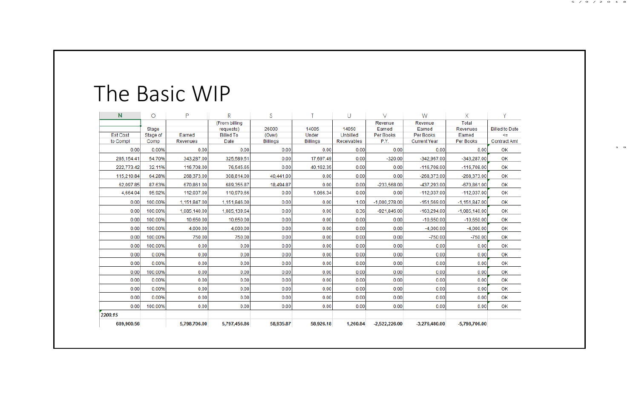| N               | $\circ$      | P            | R                | S               |                 | U                  | v               | W                   | X               | v                     |
|-----------------|--------------|--------------|------------------|-----------------|-----------------|--------------------|-----------------|---------------------|-----------------|-----------------------|
|                 |              |              | (From billing    |                 |                 |                    | Revenue         | Revenue             | <b>Total</b>    |                       |
|                 | <b>Stage</b> |              | requests)        | 26000           | 14005           | 14050              | Earned          | Earned              | <b>Revenues</b> | <b>Billed to Date</b> |
| <b>Est Cost</b> | Stage of     | Earned       | <b>Billed To</b> | (Over)          | Under           | Unbilled           | Per Books       | <b>Per Books</b>    | Earned          | <=                    |
| to Compl        | Comp         | Revenues     | Date             | <b>Billings</b> | <b>Billings</b> | <b>Receivables</b> | P.Y.            | <b>Current Year</b> | Per Books       | <b>Contract Amt</b>   |
| 0.00            | 0.00%        | 0.00         | 0.00             | 0.00            | 0.00            | 0.00               | 0.00            | 0.00                | 0.00            | OK                    |
| 285.154.41      | 54.70%       | 343.287.00   | 325.589.51       | 0.00            | 17,697.49       | 0.00               | $-320.00$       | $-342.967.00$       | $-343.287.00$   | OK                    |
| 222.773.42      | 32.11%       | 116,708.00   | 76.545.65        | 0.00            | 40.162.35       | 0.00               | 0.00            | $-116.708.00$       | $-116.708.00$   | OK                    |
| 115,210.84      | 64.28%       | 268.373.00   | 308.814.00       | 40.441.00       | 0.00            | 0.00               | 0.00            | $-268.373.00$       | $-268.373.00$   | OK                    |
| 62.097.85       | 87.63%       | 670.861.00   | 689,355.87       | 18.494.87       | 0.00            | 0.00               | $-233.568.00$   | $-437.293.00$       | $-670.861.00$   | OK                    |
| 4.664.04        | 95.92%       | 112.037.00   | 110.970.66       | 0.00            | 1.066.34        | 0.00               | 0.00            | $-112.037.00$       | $-112.037.00$   | OK                    |
| 0.00            | 100.00%      | 1.151.847.00 | 1,151,846.00     | 0.00            | 0.00            | 1.00               | $-1.000.278.00$ | $-151.569.00$       | $-1.151.847.00$ | OK                    |
| 0.00            | 100.00%      | 1.085.140.00 | 1.085.139.64     | 0.00            | 0.00            | 0.36               | $-921.846.00$   | $-163.294.00$       | $-1.085.140.00$ | OK                    |
| 0.00            | 100.00%      | 10,650.00    | 10,650.00        | 0.00            | 0.00            | 0.00               | 0.00            | $-10.650.00$        | $-10.650.00$    | OK                    |
| 0.00            | 100.00%      | 4,000.00     | 4.000.00         | 0.00            | 0.00            | 0.00               | 0.00            | $-4,000,00$         | $-4,000,00$     | OK                    |
| 0.00            | 100.00%      | 750.00       | 750.00           | 0.00            | 0.00            | 0.00               | 0.00            | $-750.00$           | $-750.00$       | OK                    |
| 0.00            | 100.00%      | 0.00         | 0.00             | 0.00            | 0.00            | 0.00               | 0.00            | 0.00                | 0.00            | OK                    |
| 0.00            | 0.00%        | 0.00         | 0.00             | 0.00            | 0.00            | 0.00               | 0.00            | 0.00                | 0.00            | OK                    |
| 0.00            | 0.00%        | 0.00         | 0.00             | 0.00            | 0.00            | 0.00               | 0.00            | 0.00                | 0.00            | OK                    |
| 0.00            | 100.00%      | 0.00         | 0.00             | 0.00            | 0.00            | 0.00               | 0.00            | 0.00                | 0.00            | OK                    |
| 0.00            | 0.00%        | 0.00         | 0.00             | 0.00            | 0.00            | 0.00               | 0.00            | 0.00                | 0.00            | OK                    |
| 0.00            | 0.00%        | 0.00         | 0.00             | 0.00            | 0.00            | 0.00               | 0.00            | 0.00                | 0.00            | OK                    |
| 0.00            | 0.00%        | 0.00         | 0.00             | 0.00            | 0.00            | 0.00               | 0.00            | 0.00                | 0.00            | OK                    |
| 0.00            | 100.00%      | 0.00         | 0.00             | 0.00            | 0.00            | 0.00               | 0.00            | 0.00                | 0.00            | OK                    |
| 2200.15         |              |              |                  |                 |                 |                    |                 |                     |                 |                       |
| 689,900.56      |              | 5,798,706.00 | 5,797,456.86     | 58,935.87       | 58,926.18       | 1.260.84           | $-2,522,226.00$ | $-3,276,480.00$     | -5.798.706.00   |                       |

1 9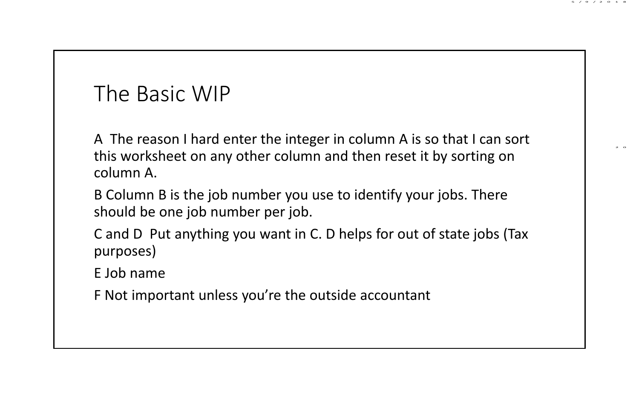A The reason I hard enter the integer in column A is so that I can sort this worksheet on any other column and then reset it by sorting on column A.

5 /9 /2 0 1 8

2 0

B Column B is the job number you use to identify your jobs. There should be one job number per job.

C and D Put anything you want in C. D helps for out of state jobs (Tax purposes)

E Job name

F Not important unless you're the outside accountant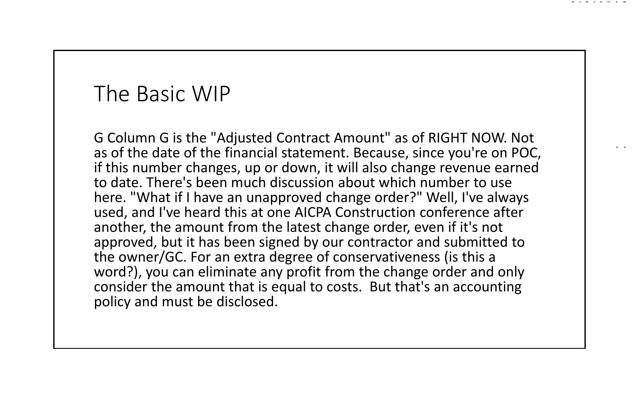G Column G is the "Adjusted Contract Amount" as of RIGHT NOW. Not as of the date of the financial statement. Because, since you're on POC, if this number changes, up or down, it will also change revenue earned to date. There's been much discussion about which number to use here. "What if I have an unapproved change order?" Well, I've always used, and I've heard this at one AICPA Construction conference after another, the amount from the latest change order, even if it's not approved, but it has been signed by our contractor and submitted to the owner/GC. For an extra degree of conservativeness (is this a word?), you can eliminate any profit from the change order and only consider the amount that is equal to costs. But that's an accounting policy and must be disclosed.

5 /9 /2 0 1 8

2 1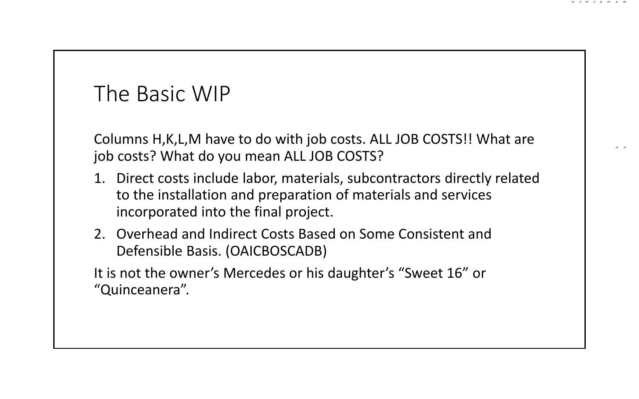Columns H,K,L,M have to do with job costs. ALL JOB COSTS!! What are job costs? What do you mean ALL JOB COSTS?

5 /9 /2 0 1 8

2 2

- 1. Direct costs include labor, materials, subcontractors directly related to the installation and preparation of materials and services incorporated into the final project.
- 2. Overhead and Indirect Costs Based on Some Consistent and Defensible Basis. (OAICBOSCADB)

It is not the owner's Mercedes or his daughter's "Sweet 16" or "Quinceanera".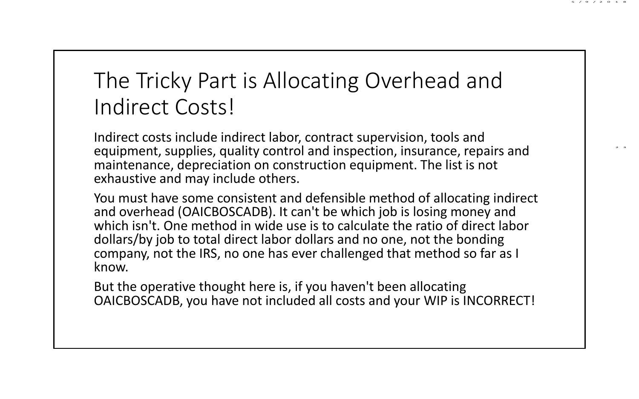# The Tricky Part is Allocating Overhead and Indirect Costs!

5 /9 /2 0 1 8

2 3

Indirect costs include indirect labor, contract supervision, tools and equipment, supplies, quality control and inspection, insurance, repairs and maintenance, depreciation on construction equipment. The list is not exhaustive and may include others.

You must have some consistent and defensible method of allocating indirect and overhead (OAICBOSCADB). It can't be which job is losing money and which isn't. One method in wide use is to calculate the ratio of direct labor dollars/by job to total direct labor dollars and no one, not the bonding company, not the IRS, no one has ever challenged that method so far as I know.

But the operative thought here is, if you haven't been allocating OAICBOSCADB, you have not included all costs and your WIP is INCORRECT!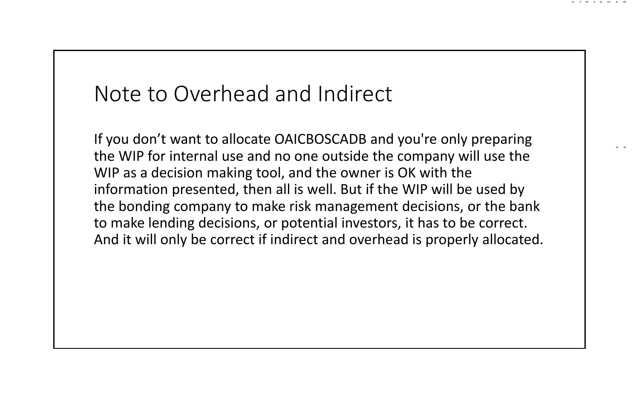#### Note to Overhead and Indirect

If you don't want to allocate OAICBOSCADB and you're only preparing the WIP for internal use and no one outside the company will use the WIP as a decision making tool, and the owner is OK with the information presented, then all is well. But if the WIP will be used by the bonding company to make risk management decisions, or the bank to make lending decisions, or potential investors, it has to be correct. And it will only be correct if indirect and overhead is properly allocated. 5 /9 /2 0 1 8

2 4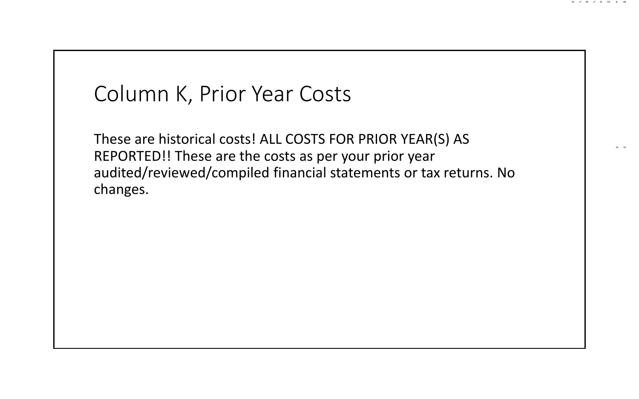#### Column K, Prior Year Costs

These are historical costs! ALL COSTS FOR PRIOR YEAR(S) AS REPORTED!! These are the costs as per your prior year audited/reviewed/compiled financial statements or tax returns. No changes.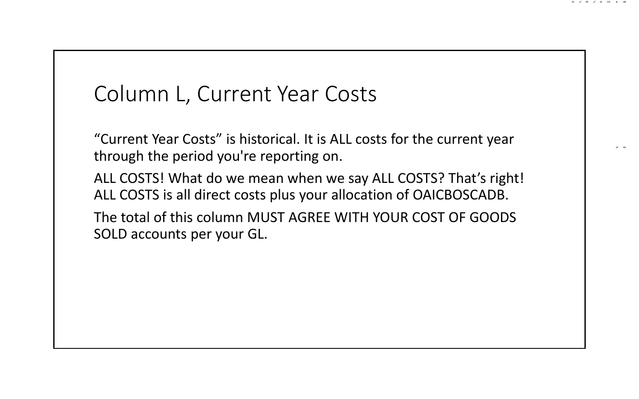#### Column L, Current Year Costs

"Current Year Costs" is historical. It is ALL costs for the current year through the period you're reporting on.

5 /9 /2 0 1 8

2 6

ALL COSTS! What do we mean when we say ALL COSTS? That's right! ALL COSTS is all direct costs plus your allocation of OAICBOSCADB.

The total of this column MUST AGREE WITH YOUR COST OF GOODS SOLD accounts per your GL.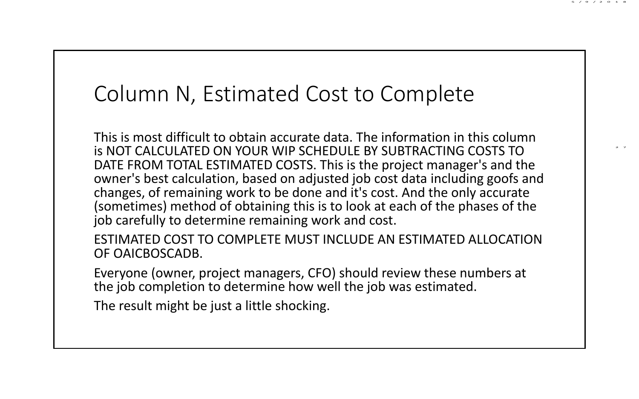#### Column N, Estimated Cost to Complete

This is most difficult to obtain accurate data. The information in this column is NOT CALCULATED ON YOUR WIP SCHEDULE BY SUBTRACTING COSTS TO DATE FROM TOTAL ESTIMATED COSTS. This is the project manager's and the owner's best calculation, based on adjusted job cost data including goofs and changes, of remaining work to be done and it's cost. And the only accurate (sometimes) method of obtaining this is to look at each of the phases of the job carefully to determine remaining work and cost.

5 /9 /2 0 1 8

2 7

ESTIMATED COST TO COMPLETE MUST INCLUDE AN ESTIMATED ALLOCATION OF OAICBOSCADB.

Everyone (owner, project managers, CFO) should review these numbers at the job completion to determine how well the job was estimated.

The result might be just a little shocking.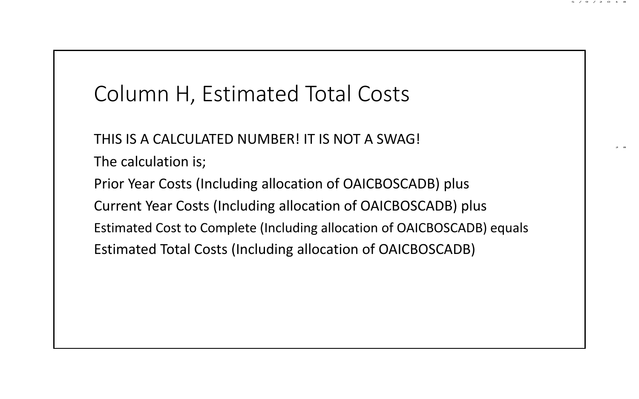# Column H, Estimated Total Costs

THIS IS A CALCULATED NUMBER! IT IS NOT A SWAG!

The calculation is;

Prior Year Costs (Including allocation of OAICBOSCADB) plus Current Year Costs (Including allocation of OAICBOSCADB) plus Estimated Cost to Complete (Including allocation of OAICBOSCADB) equals Estimated Total Costs (Including allocation of OAICBOSCADB)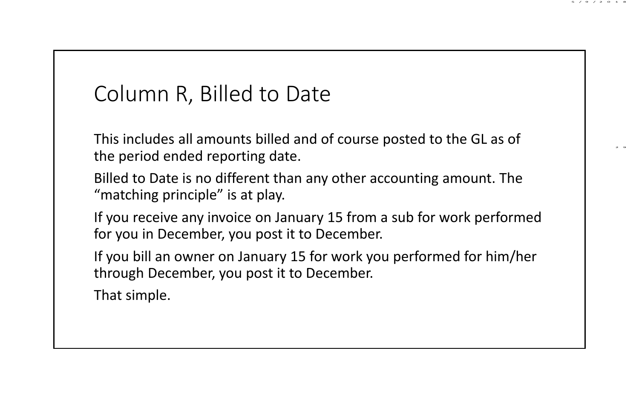### Column R, Billed to Date

This includes all amounts billed and of course posted to the GL as of the period ended reporting date.

5 /9 /2 0 1 8

2 9

Billed to Date is no different than any other accounting amount. The "matching principle" is at play.

If you receive any invoice on January 15 from a sub for work performed for you in December, you post it to December.

If you bill an owner on January 15 for work you performed for him/her through December, you post it to December.

That simple.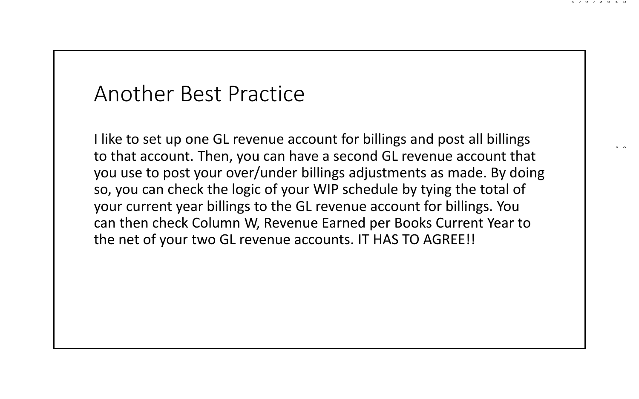#### Another Best Practice

I like to set up one GL revenue account for billings and post all billings to that account. Then, you can have a second GL revenue account that you use to post your over/under billings adjustments as made. By doing so, you can check the logic of your WIP schedule by tying the total of your current year billings to the GL revenue account for billings. You can then check Column W, Revenue Earned per Books Current Year to the net of your two GL revenue accounts. IT HAS TO AGREE!!

5 /9 /2 0 1 8

3 0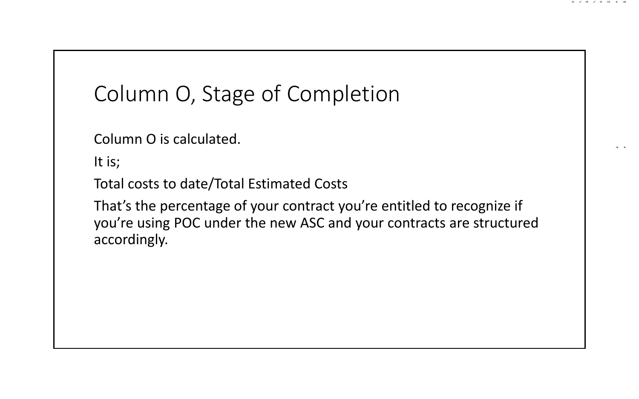# Column O, Stage of Completion

Column O is calculated.

It is;

Total costs to date/Total Estimated Costs

That's the percentage of your contract you're entitled to recognize if you're using POC under the new ASC and your contracts are structured accordingly.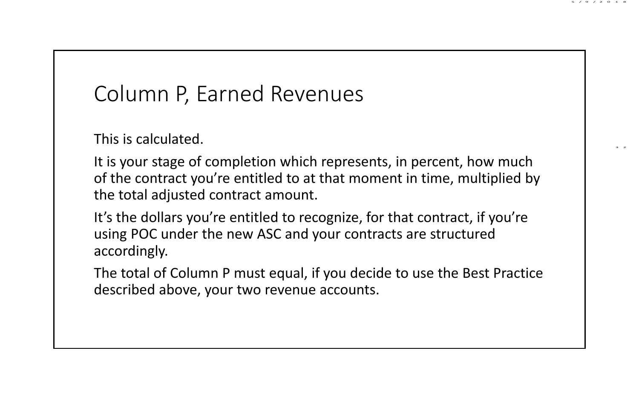#### 5 /9 /2 0 1 8

3 2

# Column P, Earned Revenues

This is calculated.

It is your stage of completion which represents, in percent, how much of the contract you're entitled to at that moment in time, multiplied by the total adjusted contract amount.

It's the dollars you're entitled to recognize, for that contract, if you're using POC under the new ASC and your contracts are structured accordingly.

The total of Column P must equal, if you decide to use the Best Practice described above, your two revenue accounts.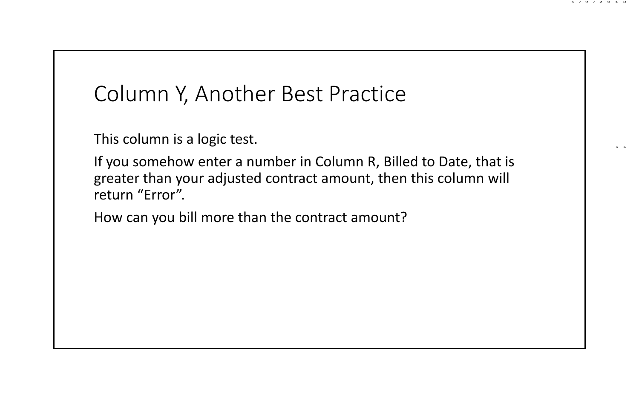### Column Y, Another Best Practice

This column is a logic test.

If you somehow enter a number in Column R, Billed to Date, that is greater than your adjusted contract amount, then this column will return "Error".

How can you bill more than the contract amount?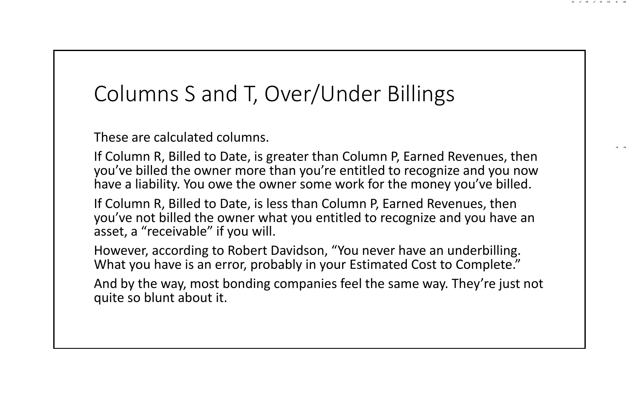### Columns S and T, Over/Under Billings

These are calculated columns.

If Column R, Billed to Date, is greater than Column P, Earned Revenues, then you've billed the owner more than you're entitled to recognize and you now have a liability. You owe the owner some work for the money you've billed.

5 /9 /2 0 1 8

3 4

If Column R, Billed to Date, is less than Column P, Earned Revenues, then you've not billed the owner what you entitled to recognize and you have an asset, a "receivable" if you will.

However, according to Robert Davidson, "You never have an underbilling. What you have is an error, probably in your Estimated Cost to Complete."

And by the way, most bonding companies feel the same way. They're just not quite so blunt about it.